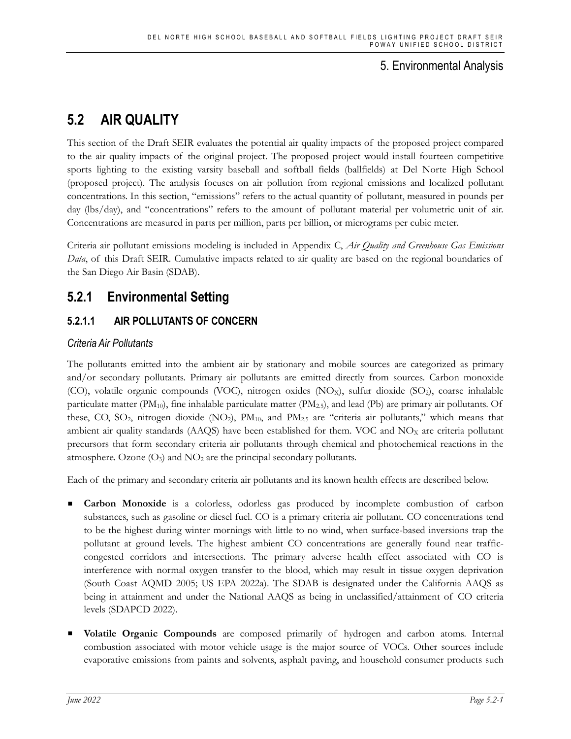# 5. Environmental Analysis

# **5.2 AIR QUALITY**

This section of the Draft SEIR evaluates the potential air quality impacts of the proposed project compared to the air quality impacts of the original project. The proposed project would install fourteen competitive sports lighting to the existing varsity baseball and softball fields (ballfields) at Del Norte High School (proposed project). The analysis focuses on air pollution from regional emissions and localized pollutant concentrations. In this section, "emissions" refers to the actual quantity of pollutant, measured in pounds per day (lbs/day), and "concentrations" refers to the amount of pollutant material per volumetric unit of air. Concentrations are measured in parts per million, parts per billion, or micrograms per cubic meter.

Criteria air pollutant emissions modeling is included in Appendix C, *Air Quality and Greenhouse Gas Emissions Data*, of this Draft SEIR. Cumulative impacts related to air quality are based on the regional boundaries of the San Diego Air Basin (SDAB).

# **5.2.1 Environmental Setting**

# **5.2.1.1 AIR POLLUTANTS OF CONCERN**

# *Criteria Air Pollutants*

The pollutants emitted into the ambient air by stationary and mobile sources are categorized as primary and/or secondary pollutants. Primary air pollutants are emitted directly from sources. Carbon monoxide (CO), volatile organic compounds (VOC), nitrogen oxides (NO<sub>X</sub>), sulfur dioxide (SO<sub>2</sub>), coarse inhalable particulate matter  $(PM_{10})$ , fine inhalable particulate matter  $(PM_{2.5})$ , and lead (Pb) are primary air pollutants. Of these, CO, SO<sub>2</sub>, nitrogen dioxide  $(NO_2)$ ,  $PM_{10}$ , and  $PM_{2.5}$  are "criteria air pollutants," which means that ambient air quality standards (AAQS) have been established for them. VOC and  $NO<sub>X</sub>$  are criteria pollutant precursors that form secondary criteria air pollutants through chemical and photochemical reactions in the atmosphere. Ozone  $(O_3)$  and  $NO_2$  are the principal secondary pollutants.

Each of the primary and secondary criteria air pollutants and its known health effects are described below.

- **Carbon Monoxide** is a colorless, odorless gas produced by incomplete combustion of carbon substances, such as gasoline or diesel fuel. CO is a primary criteria air pollutant. CO concentrations tend to be the highest during winter mornings with little to no wind, when surface-based inversions trap the pollutant at ground levels. The highest ambient CO concentrations are generally found near trafficcongested corridors and intersections. The primary adverse health effect associated with CO is interference with normal oxygen transfer to the blood, which may result in tissue oxygen deprivation (South Coast AQMD 2005; US EPA 2022a). The SDAB is designated under the California AAQS as being in attainment and under the National AAQS as being in unclassified/attainment of CO criteria levels (SDAPCD 2022).
- **Volatile Organic Compounds** are composed primarily of hydrogen and carbon atoms. Internal combustion associated with motor vehicle usage is the major source of VOCs. Other sources include evaporative emissions from paints and solvents, asphalt paving, and household consumer products such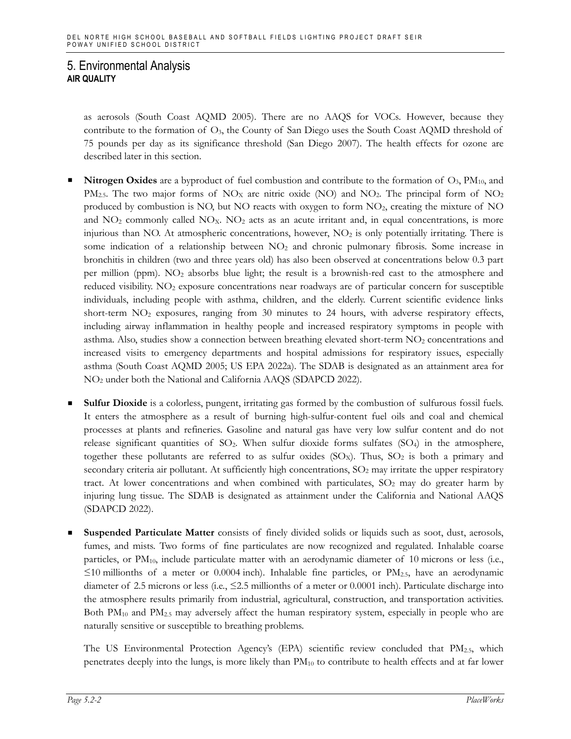as aerosols (South Coast AQMD 2005). There are no AAQS for VOCs. However, because they contribute to the formation of  $O<sub>3</sub>$ , the County of San Diego uses the South Coast AQMD threshold of 75 pounds per day as its significance threshold (San Diego 2007). The health effects for ozone are described later in this section.

- **Nitrogen Oxides** are a byproduct of fuel combustion and contribute to the formation of O3, PM10, and  $PM_{2.5}$ . The two major forms of NO<sub>X</sub> are nitric oxide (NO) and NO<sub>2</sub>. The principal form of NO<sub>2</sub> produced by combustion is NO, but NO reacts with oxygen to form NO2, creating the mixture of NO and  $NO<sub>2</sub>$  commonly called  $NO<sub>X</sub>$ .  $NO<sub>2</sub>$  acts as an acute irritant and, in equal concentrations, is more injurious than NO. At atmospheric concentrations, however,  $NO<sub>2</sub>$  is only potentially irritating. There is some indication of a relationship between  $NO<sub>2</sub>$  and chronic pulmonary fibrosis. Some increase in bronchitis in children (two and three years old) has also been observed at concentrations below 0.3 part per million (ppm). NO2 absorbs blue light; the result is a brownish-red cast to the atmosphere and reduced visibility. NO<sub>2</sub> exposure concentrations near roadways are of particular concern for susceptible individuals, including people with asthma, children, and the elderly. Current scientific evidence links short-term NO<sub>2</sub> exposures, ranging from 30 minutes to 24 hours, with adverse respiratory effects, including airway inflammation in healthy people and increased respiratory symptoms in people with asthma. Also, studies show a connection between breathing elevated short-term  $NO<sub>2</sub>$  concentrations and increased visits to emergency departments and hospital admissions for respiratory issues, especially asthma (South Coast AQMD 2005; US EPA 2022a). The SDAB is designated as an attainment area for NO2 under both the National and California AAQS (SDAPCD 2022).
- **Sulfur Dioxide** is a colorless, pungent, irritating gas formed by the combustion of sulfurous fossil fuels. It enters the atmosphere as a result of burning high-sulfur-content fuel oils and coal and chemical processes at plants and refineries. Gasoline and natural gas have very low sulfur content and do not release significant quantities of  $SO_2$ . When sulfur dioxide forms sulfates  $(SO_4)$  in the atmosphere, together these pollutants are referred to as sulfur oxides ( $SO<sub>X</sub>$ ). Thus,  $SO<sub>2</sub>$  is both a primary and secondary criteria air pollutant. At sufficiently high concentrations,  $SO<sub>2</sub>$  may irritate the upper respiratory tract. At lower concentrations and when combined with particulates,  $SO_2$  may do greater harm by injuring lung tissue. The SDAB is designated as attainment under the California and National AAQS (SDAPCD 2022).
- **Suspended Particulate Matter** consists of finely divided solids or liquids such as soot, dust, aerosols, fumes, and mists. Two forms of fine particulates are now recognized and regulated. Inhalable coarse particles, or PM<sub>10</sub>, include particulate matter with an aerodynamic diameter of 10 microns or less (i.e.,  $\leq$ 10 millionths of a meter or 0.0004 inch). Inhalable fine particles, or PM<sub>2.5</sub>, have an aerodynamic diameter of 2.5 microns or less (i.e., ≤2.5 millionths of a meter or 0.0001 inch). Particulate discharge into the atmosphere results primarily from industrial, agricultural, construction, and transportation activities. Both  $PM_{10}$  and  $PM_{2.5}$  may adversely affect the human respiratory system, especially in people who are naturally sensitive or susceptible to breathing problems.

The US Environmental Protection Agency's  $(EPA)$  scientific review concluded that  $PM_{2.5}$ , which penetrates deeply into the lungs, is more likely than PM10 to contribute to health effects and at far lower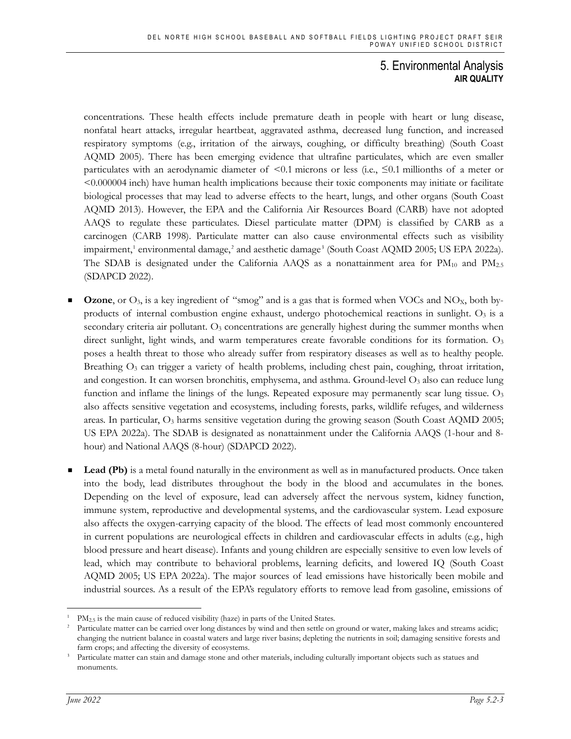concentrations. These health effects include premature death in people with heart or lung disease, nonfatal heart attacks, irregular heartbeat, aggravated asthma, decreased lung function, and increased respiratory symptoms (e.g., irritation of the airways, coughing, or difficulty breathing) (South Coast AQMD 2005). There has been emerging evidence that ultrafine particulates, which are even smaller particulates with an aerodynamic diameter of  $\leq 0.1$  microns or less (i.e.,  $\leq 0.1$  millionths of a meter or <0.000004 inch) have human health implications because their toxic components may initiate or facilitate biological processes that may lead to adverse effects to the heart, lungs, and other organs (South Coast AQMD 2013). However, the EPA and the California Air Resources Board (CARB) have not adopted AAQS to regulate these particulates. Diesel particulate matter (DPM) is classified by CARB as a carcinogen (CARB 1998). Particulate matter can also cause environmental effects such as visibility impairment,<sup>[1](#page-2-0)</sup> environmental damage,<sup>[2](#page-2-1)</sup> and aesthetic damage<sup>[3](#page-2-2)</sup> (South Coast AQMD 2005; US EPA 2022a). The SDAB is designated under the California AAQS as a nonattainment area for  $PM_{10}$  and  $PM_{2.5}$ (SDAPCD 2022).

- **Ozone**, or  $O_3$ , is a key ingredient of "smog" and is a gas that is formed when VOCs and NO<sub>X</sub>, both byproducts of internal combustion engine exhaust, undergo photochemical reactions in sunlight.  $O<sub>3</sub>$  is a secondary criteria air pollutant.  $O<sub>3</sub>$  concentrations are generally highest during the summer months when direct sunlight, light winds, and warm temperatures create favorable conditions for its formation.  $O_3$ poses a health threat to those who already suffer from respiratory diseases as well as to healthy people. Breathing  $O_3$  can trigger a variety of health problems, including chest pain, coughing, throat irritation, and congestion. It can worsen bronchitis, emphysema, and asthma. Ground-level  $O<sub>3</sub>$  also can reduce lung function and inflame the linings of the lungs. Repeated exposure may permanently scar lung tissue.  $O_3$ also affects sensitive vegetation and ecosystems, including forests, parks, wildlife refuges, and wilderness areas. In particular,  $O_3$  harms sensitive vegetation during the growing season (South Coast AQMD 2005; US EPA 2022a). The SDAB is designated as nonattainment under the California AAQS (1-hour and 8 hour) and National AAQS (8-hour) (SDAPCD 2022).
- **Lead (Pb)** is a metal found naturally in the environment as well as in manufactured products. Once taken into the body, lead distributes throughout the body in the blood and accumulates in the bones. Depending on the level of exposure, lead can adversely affect the nervous system, kidney function, immune system, reproductive and developmental systems, and the cardiovascular system. Lead exposure also affects the oxygen-carrying capacity of the blood. The effects of lead most commonly encountered in current populations are neurological effects in children and cardiovascular effects in adults (e.g., high blood pressure and heart disease). Infants and young children are especially sensitive to even low levels of lead, which may contribute to behavioral problems, learning deficits, and lowered IQ (South Coast AQMD 2005; US EPA 2022a). The major sources of lead emissions have historically been mobile and industrial sources. As a result of the EPA's regulatory efforts to remove lead from gasoline, emissions of

<span id="page-2-1"></span><span id="page-2-0"></span> $PM<sub>2.5</sub>$  is the main cause of reduced visibility (haze) in parts of the United States.

<sup>2</sup> Particulate matter can be carried over long distances by wind and then settle on ground or water, making lakes and streams acidic; changing the nutrient balance in coastal waters and large river basins; depleting the nutrients in soil; damaging sensitive forests and farm crops; and affecting the diversity of ecosystems.

<span id="page-2-2"></span><sup>&</sup>lt;sup>3</sup> Particulate matter can stain and damage stone and other materials, including culturally important objects such as statues and monuments.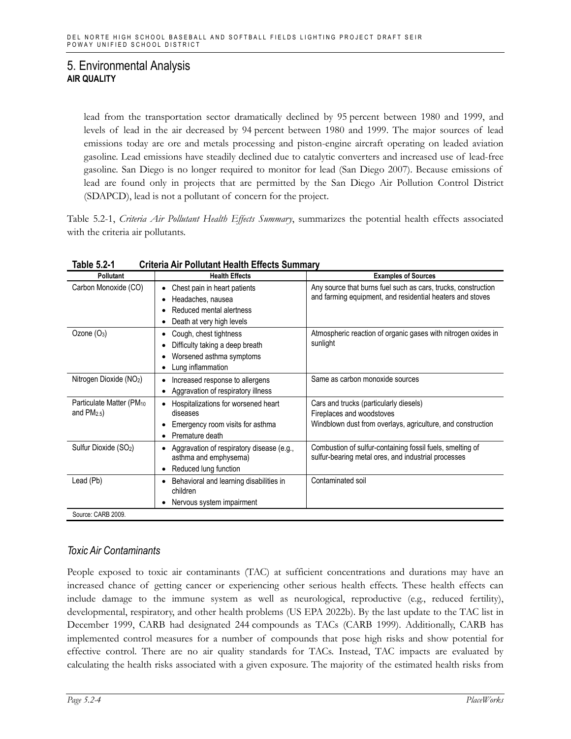lead from the transportation sector dramatically declined by 95 percent between 1980 and 1999, and levels of lead in the air decreased by 94 percent between 1980 and 1999. The major sources of lead emissions today are ore and metals processing and piston-engine aircraft operating on leaded aviation gasoline. Lead emissions have steadily declined due to catalytic converters and increased use of lead-free gasoline. San Diego is no longer required to monitor for lead (San Diego 2007). Because emissions of lead are found only in projects that are permitted by the San Diego Air Pollution Control District (SDAPCD), lead is not a pollutant of concern for the project.

Table 5.2-1, *Criteria Air Pollutant Health Effects Summary*, summarizes the potential health effects associated with the criteria air pollutants.

| <b>Pollutant</b>                                      | <b>Health Effects</b>                                                                                      | <b>Examples of Sources</b>                                                                                                         |
|-------------------------------------------------------|------------------------------------------------------------------------------------------------------------|------------------------------------------------------------------------------------------------------------------------------------|
| Carbon Monoxide (CO)                                  | Chest pain in heart patients<br>Headaches, nausea<br>Reduced mental alertness<br>Death at very high levels | Any source that burns fuel such as cars, trucks, construction<br>and farming equipment, and residential heaters and stoves         |
| Ozone $(O_3)$                                         | Cough, chest tightness<br>Difficulty taking a deep breath<br>Worsened asthma symptoms<br>Lung inflammation | Atmospheric reaction of organic gases with nitrogen oxides in<br>sunlight                                                          |
| Nitrogen Dioxide (NO2)                                | Increased response to allergens<br>Aggravation of respiratory illness                                      | Same as carbon monoxide sources                                                                                                    |
| Particulate Matter (PM <sub>10</sub><br>and $PM2.5$ ) | Hospitalizations for worsened heart<br>diseases<br>Emergency room visits for asthma<br>Premature death     | Cars and trucks (particularly diesels)<br>Fireplaces and woodstoves<br>Windblown dust from overlays, agriculture, and construction |
| Sulfur Dioxide (SO <sub>2</sub> )                     | Aggravation of respiratory disease (e.g.,<br>asthma and emphysema)<br>Reduced lung function                | Combustion of sulfur-containing fossil fuels, smelting of<br>sulfur-bearing metal ores, and industrial processes                   |
| Lead (Pb)                                             | Behavioral and learning disabilities in<br>children<br>Nervous system impairment                           | Contaminated soil                                                                                                                  |
| Source: CARB 2009.                                    |                                                                                                            |                                                                                                                                    |

**Table 5.2-1 Criteria Air Pollutant Health Effects Summary**

# *Toxic Air Contaminants*

People exposed to toxic air contaminants (TAC) at sufficient concentrations and durations may have an increased chance of getting cancer or experiencing other serious health effects. These health effects can include damage to the immune system as well as neurological, reproductive (e.g., reduced fertility), developmental, respiratory, and other health problems (US EPA 2022b). By the last update to the TAC list in December 1999, CARB had designated 244 compounds as TACs (CARB 1999). Additionally, CARB has implemented control measures for a number of compounds that pose high risks and show potential for effective control. There are no air quality standards for TACs. Instead, TAC impacts are evaluated by calculating the health risks associated with a given exposure. The majority of the estimated health risks from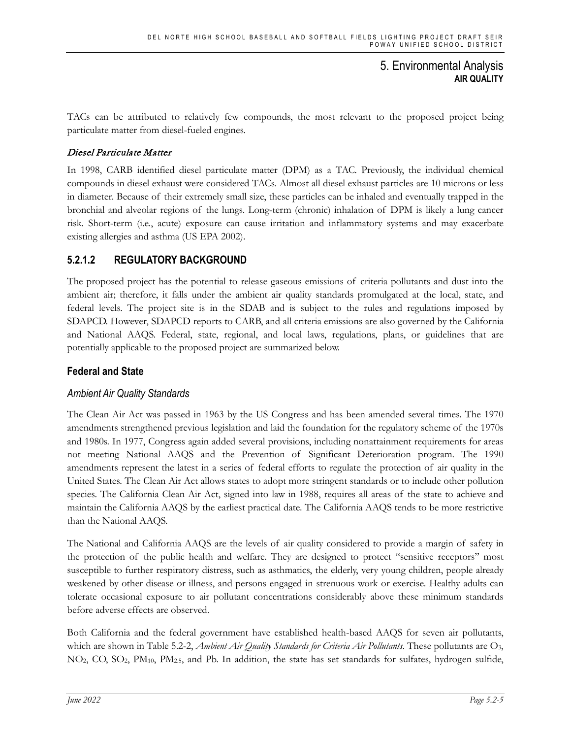TACs can be attributed to relatively few compounds, the most relevant to the proposed project being particulate matter from diesel-fueled engines.

### Diesel Particulate Matter

In 1998, CARB identified diesel particulate matter (DPM) as a TAC. Previously, the individual chemical compounds in diesel exhaust were considered TACs. Almost all diesel exhaust particles are 10 microns or less in diameter. Because of their extremely small size, these particles can be inhaled and eventually trapped in the bronchial and alveolar regions of the lungs. Long-term (chronic) inhalation of DPM is likely a lung cancer risk. Short-term (i.e., acute) exposure can cause irritation and inflammatory systems and may exacerbate existing allergies and asthma (US EPA 2002).

# **5.2.1.2 REGULATORY BACKGROUND**

The proposed project has the potential to release gaseous emissions of criteria pollutants and dust into the ambient air; therefore, it falls under the ambient air quality standards promulgated at the local, state, and federal levels. The project site is in the SDAB and is subject to the rules and regulations imposed by SDAPCD. However, SDAPCD reports to CARB, and all criteria emissions are also governed by the California and National AAQS. Federal, state, regional, and local laws, regulations, plans, or guidelines that are potentially applicable to the proposed project are summarized below.

# **Federal and State**

# *Ambient Air Quality Standards*

The Clean Air Act was passed in 1963 by the US Congress and has been amended several times. The 1970 amendments strengthened previous legislation and laid the foundation for the regulatory scheme of the 1970s and 1980s. In 1977, Congress again added several provisions, including nonattainment requirements for areas not meeting National AAQS and the Prevention of Significant Deterioration program. The 1990 amendments represent the latest in a series of federal efforts to regulate the protection of air quality in the United States. The Clean Air Act allows states to adopt more stringent standards or to include other pollution species. The California Clean Air Act, signed into law in 1988, requires all areas of the state to achieve and maintain the California AAQS by the earliest practical date. The California AAQS tends to be more restrictive than the National AAQS.

The National and California AAQS are the levels of air quality considered to provide a margin of safety in the protection of the public health and welfare. They are designed to protect "sensitive receptors" most susceptible to further respiratory distress, such as asthmatics, the elderly, very young children, people already weakened by other disease or illness, and persons engaged in strenuous work or exercise. Healthy adults can tolerate occasional exposure to air pollutant concentrations considerably above these minimum standards before adverse effects are observed.

Both California and the federal government have established health-based AAQS for seven air pollutants, which are shown in Table 5.2-2, *Ambient Air Quality Standards for Criteria Air Pollutants*. These pollutants are O<sub>3</sub>, NO2, CO, SO2, PM10, PM2.5, and Pb. In addition, the state has set standards for sulfates, hydrogen sulfide,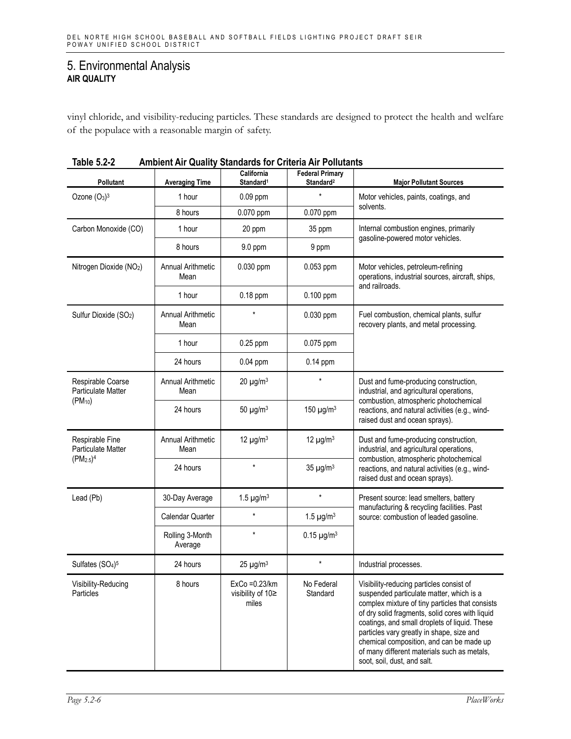vinyl chloride, and visibility-reducing particles. These standards are designed to protect the health and welfare of the populace with a reasonable margin of safety.

| AUIC J.Z-Z<br>Allibiciit All Wudilty Otaliuarus for Officiid All Follutarits      |                                  |                                                   |                                                 |                                                                                                                                                                                                                                                                                                                                                                                                                    |  |  |
|-----------------------------------------------------------------------------------|----------------------------------|---------------------------------------------------|-------------------------------------------------|--------------------------------------------------------------------------------------------------------------------------------------------------------------------------------------------------------------------------------------------------------------------------------------------------------------------------------------------------------------------------------------------------------------------|--|--|
| Pollutant                                                                         | <b>Averaging Time</b>            | California<br>Standard <sup>1</sup>               | <b>Federal Primary</b><br>Standard <sup>2</sup> | <b>Major Pollutant Sources</b>                                                                                                                                                                                                                                                                                                                                                                                     |  |  |
| Ozone $(O_3)^3$                                                                   | 1 hour                           | $0.09$ ppm                                        |                                                 | Motor vehicles, paints, coatings, and                                                                                                                                                                                                                                                                                                                                                                              |  |  |
|                                                                                   | 8 hours                          | 0.070 ppm                                         | 0.070 ppm                                       | solvents.                                                                                                                                                                                                                                                                                                                                                                                                          |  |  |
| Carbon Monoxide (CO)                                                              | 1 hour                           | 20 ppm                                            | 35 ppm                                          | Internal combustion engines, primarily                                                                                                                                                                                                                                                                                                                                                                             |  |  |
|                                                                                   | 8 hours                          | 9.0 ppm                                           | 9 ppm                                           | gasoline-powered motor vehicles.                                                                                                                                                                                                                                                                                                                                                                                   |  |  |
| Nitrogen Dioxide (NO2)                                                            | <b>Annual Arithmetic</b><br>Mean | 0.030 ppm                                         | 0.053 ppm                                       | Motor vehicles, petroleum-refining<br>operations, industrial sources, aircraft, ships,<br>and railroads.                                                                                                                                                                                                                                                                                                           |  |  |
|                                                                                   | 1 hour                           | 0.18 ppm                                          | $0.100$ ppm                                     |                                                                                                                                                                                                                                                                                                                                                                                                                    |  |  |
| Sulfur Dioxide (SO <sub>2</sub> )                                                 | <b>Annual Arithmetic</b><br>Mean | $\star$                                           | 0.030 ppm                                       | Fuel combustion, chemical plants, sulfur<br>recovery plants, and metal processing.                                                                                                                                                                                                                                                                                                                                 |  |  |
|                                                                                   | 1 hour                           | $0.25$ ppm                                        | 0.075 ppm                                       |                                                                                                                                                                                                                                                                                                                                                                                                                    |  |  |
|                                                                                   | 24 hours                         | $0.04$ ppm                                        | $0.14$ ppm                                      |                                                                                                                                                                                                                                                                                                                                                                                                                    |  |  |
| Respirable Coarse<br><b>Particulate Matter</b><br>$(PM_{10})$                     | Annual Arithmetic<br>Mean        | $20 \mu g/m^3$                                    | $\star$                                         | Dust and fume-producing construction,<br>industrial, and agricultural operations,<br>combustion, atmospheric photochemical                                                                                                                                                                                                                                                                                         |  |  |
|                                                                                   | 24 hours                         | 50 $\mu$ g/m <sup>3</sup>                         | 150 $\mu$ g/m <sup>3</sup>                      | reactions, and natural activities (e.g., wind-<br>raised dust and ocean sprays).                                                                                                                                                                                                                                                                                                                                   |  |  |
| Respirable Fine<br><b>Particulate Matter</b><br>(PM <sub>2.5</sub> ) <sup>4</sup> | <b>Annual Arithmetic</b><br>Mean | 12 $\mu$ g/m <sup>3</sup>                         | 12 $\mu$ g/m <sup>3</sup>                       | Dust and fume-producing construction,<br>industrial, and agricultural operations,                                                                                                                                                                                                                                                                                                                                  |  |  |
|                                                                                   | 24 hours                         |                                                   | $35 \mu g/m^3$                                  | combustion, atmospheric photochemical<br>reactions, and natural activities (e.g., wind-<br>raised dust and ocean sprays).                                                                                                                                                                                                                                                                                          |  |  |
| Lead (Pb)                                                                         | 30-Day Average                   | 1.5 $\mu$ g/m <sup>3</sup>                        | $\star$                                         | Present source: lead smelters, battery                                                                                                                                                                                                                                                                                                                                                                             |  |  |
|                                                                                   | Calendar Quarter                 | $\star$                                           | 1.5 $\mu$ g/m <sup>3</sup>                      | manufacturing & recycling facilities. Past<br>source: combustion of leaded gasoline.                                                                                                                                                                                                                                                                                                                               |  |  |
|                                                                                   | Rolling 3-Month<br>Average       | $\star$                                           | $0.15 \mu g/m^3$                                |                                                                                                                                                                                                                                                                                                                                                                                                                    |  |  |
| Sulfates (SO <sub>4</sub> ) <sup>5</sup>                                          | 24 hours                         | 25 $\mu$ g/m <sup>3</sup>                         | $\star$                                         | Industrial processes.                                                                                                                                                                                                                                                                                                                                                                                              |  |  |
| Visibility-Reducing<br>Particles                                                  | 8 hours                          | ExCo = 0.23/km<br>visibility of $10 \ge$<br>miles | No Federal<br>Standard                          | Visibility-reducing particles consist of<br>suspended particulate matter, which is a<br>complex mixture of tiny particles that consists<br>of dry solid fragments, solid cores with liquid<br>coatings, and small droplets of liquid. These<br>particles vary greatly in shape, size and<br>chemical composition, and can be made up<br>of many different materials such as metals,<br>soot, soil, dust, and salt. |  |  |

| Table 5.2-2 | <b>Ambient Air Quality Standards for Criteria Air Pollutants</b> |  |  |  |
|-------------|------------------------------------------------------------------|--|--|--|
|-------------|------------------------------------------------------------------|--|--|--|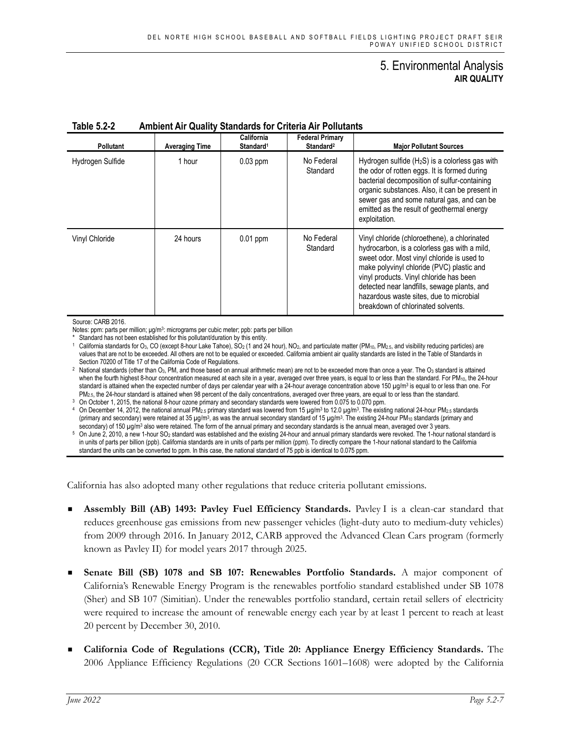| <b>Pollutant</b> | <b>Averaging Time</b> | California<br>Standard <sup>1</sup> | <b>Federal Primary</b><br>Standard <sup>2</sup> | <b>Major Pollutant Sources</b>                                                                                                                                                                                                                                                                                                                                     |
|------------------|-----------------------|-------------------------------------|-------------------------------------------------|--------------------------------------------------------------------------------------------------------------------------------------------------------------------------------------------------------------------------------------------------------------------------------------------------------------------------------------------------------------------|
| Hydrogen Sulfide | 1 hour                | $0.03$ ppm                          | No Federal<br>Standard                          | Hydrogen sulfide $(H_2S)$ is a colorless gas with<br>the odor of rotten eggs. It is formed during<br>bacterial decomposition of sulfur-containing<br>organic substances. Also, it can be present in<br>sewer gas and some natural gas, and can be<br>emitted as the result of geothermal energy<br>exploitation.                                                   |
| Vinyl Chloride   | 24 hours              | $0.01$ ppm                          | No Federal<br>Standard                          | Vinyl chloride (chloroethene), a chlorinated<br>hydrocarbon, is a colorless gas with a mild,<br>sweet odor. Most vinyl chloride is used to<br>make polyvinyl chloride (PVC) plastic and<br>vinyl products. Vinyl chloride has been<br>detected near landfills, sewage plants, and<br>hazardous waste sites, due to microbial<br>breakdown of chlorinated solvents. |

#### **Table 5.2-2 Ambient Air Quality Standards for Criteria Air Pollutants**

Source: CARB 2016.

Notes: ppm: parts per million; μg/m<sup>3</sup>: micrograms per cubic meter; ppb: parts per billion<br>\* Standard has not been established for this pollutant/duration by this entity.

<sup>1</sup> California standards for O<sub>3</sub>, CO (except 8-hour Lake Tahoe), SO<sub>2</sub> (1 and 24 hour), NO<sub>2</sub>, and particulate matter (PM<sub>10</sub>, PM<sub>25</sub>, and visibility reducing particles) are values that are not to be exceeded. All others are not to be equaled or exceeded. California ambient air quality standards are listed in the Table of Standards in Section 70200 of Title 17 of the California Code of Regulations.

<sup>2</sup> National standards (other than O<sub>3</sub>, PM, and those based on annual arithmetic mean) are not to be exceeded more than once a year. The O<sub>3</sub> standard is attained when the fourth highest 8-hour concentration measured at each site in a year, averaged over three years, is equal to or less than the standard. For PM<sub>10</sub>, the 24-hour standard is attained when the expected number of days per calendar year with a 24-hour average concentration above 150  $\mu$ g/m<sup>3</sup> is equal to or less than one. For PM<sub>2.5</sub>, the 24-hour standard is attained when 98 percent

<sup>3</sup> On October 1, 2015, the national 8-hour ozone primary and secondary standards were lowered from 0.075 to 0.070 ppm.

4 On December 14, 2012, the national annual PM<sub>2.5</sub> primary standard was lowered from 15 µg/m<sup>3</sup> to 12.0 µg/m<sup>3</sup>. The existing national 24-hour PM<sub>2.5</sub> standards (primary and secondary) were retained at 35  $\mu$ g/m<sup>3</sup>, as was the annual secondary standard of 15  $\mu$ g/m<sup>3</sup>. The existing 24-hour PM<sub>10</sub> standards (primary and secondary) of 150 µg/m<sup>3</sup> also were retained. The form of the annual primary and secondary standards is the annual mean, averaged over 3 years.

<sup>5</sup> On June 2, 2010, a new 1-hour SO2 standard was established and the existing 24-hour and annual primary standards were revoked. The 1-hour national standard is in units of parts per billion (ppb). California standards are in units of parts per million (ppm). To directly compare the 1-hour national standard to the California standard the units can be converted to ppm. In this case, the national standard of 75 ppb is identical to 0.075 ppm.

California has also adopted many other regulations that reduce criteria pollutant emissions.

- **Assembly Bill (AB) 1493: Pavley Fuel Efficiency Standards.** Pavley I is a clean-car standard that reduces greenhouse gas emissions from new passenger vehicles (light-duty auto to medium-duty vehicles) from 2009 through 2016. In January 2012, CARB approved the Advanced Clean Cars program (formerly known as Pavley II) for model years 2017 through 2025.
- **Senate Bill (SB) 1078 and SB 107: Renewables Portfolio Standards.** A major component of California's Renewable Energy Program is the renewables portfolio standard established under SB 1078 (Sher) and SB 107 (Simitian). Under the renewables portfolio standard, certain retail sellers of electricity were required to increase the amount of renewable energy each year by at least 1 percent to reach at least 20 percent by December 30, 2010.
- **California Code of Regulations (CCR), Title 20: Appliance Energy Efficiency Standards.** The 2006 Appliance Efficiency Regulations (20 CCR Sections 1601–1608) were adopted by the California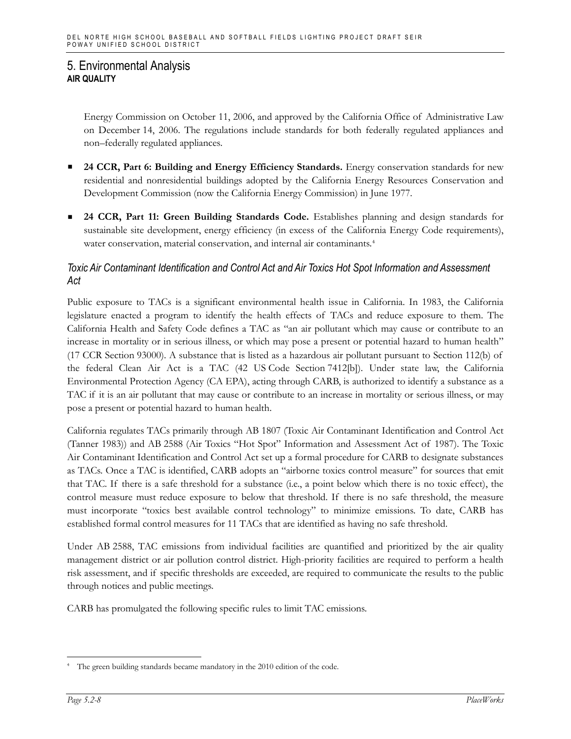Energy Commission on October 11, 2006, and approved by the California Office of Administrative Law on December 14, 2006. The regulations include standards for both federally regulated appliances and non–federally regulated appliances.

- **24 CCR, Part 6: Building and Energy Efficiency Standards.** Energy conservation standards for new residential and nonresidential buildings adopted by the California Energy Resources Conservation and Development Commission (now the California Energy Commission) in June 1977.
- **24 CCR, Part 11: Green Building Standards Code.** Establishes planning and design standards for sustainable site development, energy efficiency (in excess of the California Energy Code requirements), water conservation, material conservation, and internal air contaminants.<sup>[4](#page-7-0)</sup>

# *Toxic Air Contaminant Identification and Control Act and Air Toxics Hot Spot Information and Assessment Act*

Public exposure to TACs is a significant environmental health issue in California. In 1983, the California legislature enacted a program to identify the health effects of TACs and reduce exposure to them. The California Health and Safety Code defines a TAC as "an air pollutant which may cause or contribute to an increase in mortality or in serious illness, or which may pose a present or potential hazard to human health" (17 CCR Section 93000). A substance that is listed as a hazardous air pollutant pursuant to Section 112(b) of the federal Clean Air Act is a TAC (42 US Code Section 7412[b]). Under state law, the California Environmental Protection Agency (CA EPA), acting through CARB, is authorized to identify a substance as a TAC if it is an air pollutant that may cause or contribute to an increase in mortality or serious illness, or may pose a present or potential hazard to human health.

California regulates TACs primarily through AB 1807 (Toxic Air Contaminant Identification and Control Act (Tanner 1983)) and AB 2588 (Air Toxics "Hot Spot" Information and Assessment Act of 1987). The Toxic Air Contaminant Identification and Control Act set up a formal procedure for CARB to designate substances as TACs. Once a TAC is identified, CARB adopts an "airborne toxics control measure" for sources that emit that TAC. If there is a safe threshold for a substance (i.e., a point below which there is no toxic effect), the control measure must reduce exposure to below that threshold. If there is no safe threshold, the measure must incorporate "toxics best available control technology" to minimize emissions. To date, CARB has established formal control measures for 11 TACs that are identified as having no safe threshold.

Under AB 2588, TAC emissions from individual facilities are quantified and prioritized by the air quality management district or air pollution control district. High-priority facilities are required to perform a health risk assessment, and if specific thresholds are exceeded, are required to communicate the results to the public through notices and public meetings.

CARB has promulgated the following specific rules to limit TAC emissions.

<span id="page-7-0"></span>The green building standards became mandatory in the 2010 edition of the code.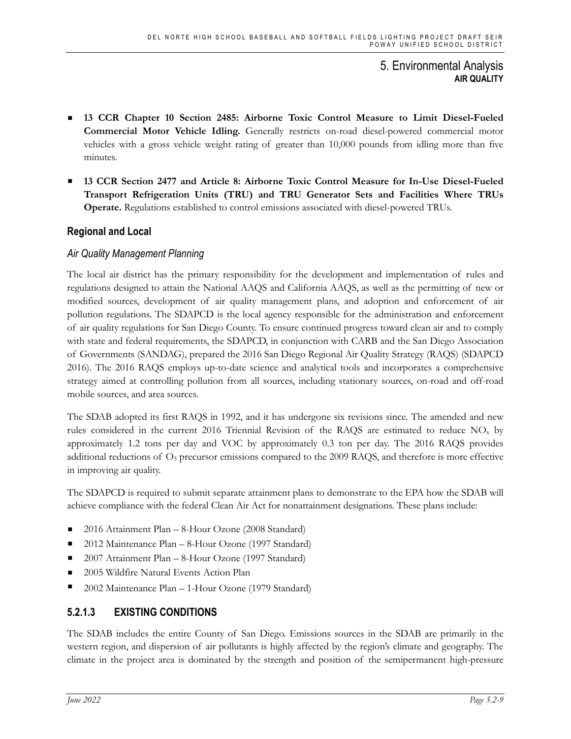- **13 CCR Chapter 10 Section 2485: Airborne Toxic Control Measure to Limit Diesel-Fueled Commercial Motor Vehicle Idling.** Generally restricts on-road diesel-powered commercial motor vehicles with a gross vehicle weight rating of greater than 10,000 pounds from idling more than five minutes.
- **13 CCR Section 2477 and Article 8: Airborne Toxic Control Measure for In-Use Diesel-Fueled Transport Refrigeration Units (TRU) and TRU Generator Sets and Facilities Where TRUs Operate.** Regulations established to control emissions associated with diesel-powered TRUs.

# **Regional and Local**

# *Air Quality Management Planning*

The local air district has the primary responsibility for the development and implementation of rules and regulations designed to attain the National AAQS and California AAQS, as well as the permitting of new or modified sources, development of air quality management plans, and adoption and enforcement of air pollution regulations. The SDAPCD is the local agency responsible for the administration and enforcement of air quality regulations for San Diego County. To ensure continued progress toward clean air and to comply with state and federal requirements, the SDAPCD, in conjunction with CARB and the San Diego Association of Governments (SANDAG), prepared the 2016 San Diego Regional Air Quality Strategy (RAQS) (SDAPCD 2016). The 2016 RAQS employs up-to-date science and analytical tools and incorporates a comprehensive strategy aimed at controlling pollution from all sources, including stationary sources, on-road and off-road mobile sources, and area sources.

The SDAB adopted its first RAQS in 1992, and it has undergone six revisions since. The amended and new rules considered in the current 2016 Triennial Revision of the RAQS are estimated to reduce  $NO<sub>x</sub>$  by approximately 1.2 tons per day and VOC by approximately 0.3 ton per day. The 2016 RAQS provides additional reductions of O3 precursor emissions compared to the 2009 RAQS, and therefore is more effective in improving air quality.

The SDAPCD is required to submit separate attainment plans to demonstrate to the EPA how the SDAB will achieve compliance with the federal Clean Air Act for nonattainment designations. These plans include:

- 2016 Attainment Plan 8-Hour Ozone (2008 Standard)
- 2012 Maintenance Plan 8-Hour Ozone (1997 Standard)
- 2007 Attainment Plan 8-Hour Ozone (1997 Standard)
- 2005 Wildfire Natural Events Action Plan
- 2002 Maintenance Plan 1-Hour Ozone (1979 Standard)

# **5.2.1.3 EXISTING CONDITIONS**

The SDAB includes the entire County of San Diego. Emissions sources in the SDAB are primarily in the western region, and dispersion of air pollutants is highly affected by the region's climate and geography. The climate in the project area is dominated by the strength and position of the semipermanent high-pressure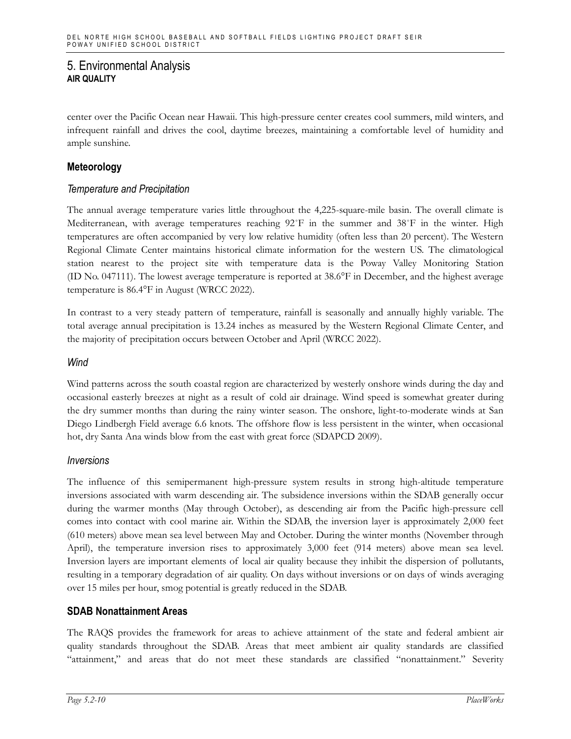center over the Pacific Ocean near Hawaii. This high-pressure center creates cool summers, mild winters, and infrequent rainfall and drives the cool, daytime breezes, maintaining a comfortable level of humidity and ample sunshine.

### **Meteorology**

### *Temperature and Precipitation*

The annual average temperature varies little throughout the 4,225-square-mile basin. The overall climate is Mediterranean, with average temperatures reaching 92˚F in the summer and 38˚F in the winter. High temperatures are often accompanied by very low relative humidity (often less than 20 percent). The Western Regional Climate Center maintains historical climate information for the western US. The climatological station nearest to the project site with temperature data is the Poway Valley Monitoring Station (ID No. 047111). The lowest average temperature is reported at 38.6°F in December, and the highest average temperature is 86.4°F in August (WRCC 2022).

In contrast to a very steady pattern of temperature, rainfall is seasonally and annually highly variable. The total average annual precipitation is 13.24 inches as measured by the Western Regional Climate Center, and the majority of precipitation occurs between October and April (WRCC 2022).

#### *Wind*

Wind patterns across the south coastal region are characterized by westerly onshore winds during the day and occasional easterly breezes at night as a result of cold air drainage. Wind speed is somewhat greater during the dry summer months than during the rainy winter season. The onshore, light-to-moderate winds at San Diego Lindbergh Field average 6.6 knots. The offshore flow is less persistent in the winter, when occasional hot, dry Santa Ana winds blow from the east with great force (SDAPCD 2009).

#### *Inversions*

The influence of this semipermanent high-pressure system results in strong high-altitude temperature inversions associated with warm descending air. The subsidence inversions within the SDAB generally occur during the warmer months (May through October), as descending air from the Pacific high-pressure cell comes into contact with cool marine air. Within the SDAB, the inversion layer is approximately 2,000 feet (610 meters) above mean sea level between May and October. During the winter months (November through April), the temperature inversion rises to approximately 3,000 feet (914 meters) above mean sea level. Inversion layers are important elements of local air quality because they inhibit the dispersion of pollutants, resulting in a temporary degradation of air quality. On days without inversions or on days of winds averaging over 15 miles per hour, smog potential is greatly reduced in the SDAB.

### **SDAB Nonattainment Areas**

The RAQS provides the framework for areas to achieve attainment of the state and federal ambient air quality standards throughout the SDAB. Areas that meet ambient air quality standards are classified "attainment," and areas that do not meet these standards are classified "nonattainment." Severity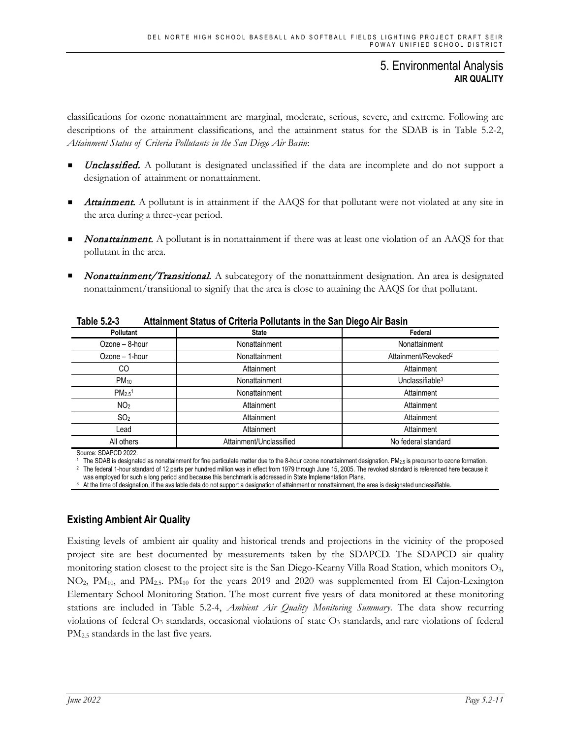classifications for ozone nonattainment are marginal, moderate, serious, severe, and extreme. Following are descriptions of the attainment classifications, and the attainment status for the SDAB is in Table 5.2-2, *Attainment Status of Criteria Pollutants in the San Diego Air Basin*:

- **Unclassified.** A pollutant is designated unclassified if the data are incomplete and do not support a designation of attainment or nonattainment.
- Attainment. A pollutant is in attainment if the AAQS for that pollutant were not violated at any site in the area during a three-year period.
- Nonattainment. A pollutant is in nonattainment if there was at least one violation of an AAQS for that pollutant in the area.
- Nonattainment/Transitional. A subcategory of the nonattainment designation. An area is designated nonattainment/transitional to signify that the area is close to attaining the AAQS for that pollutant.

| י-גיש טישו         | <b>Attainment Utatas or University Formative in the Utar Diego Air Dashi</b> |                                 |
|--------------------|------------------------------------------------------------------------------|---------------------------------|
| Pollutant          | <b>State</b>                                                                 | Federal                         |
| Ozone - 8-hour     | Nonattainment                                                                | Nonattainment                   |
| Ozone - 1-hour     | Nonattainment                                                                | Attainment/Revoked <sup>2</sup> |
| CO                 | Attainment                                                                   | Attainment                      |
| $PM_{10}$          | Nonattainment                                                                | Unclassifiable $3$              |
| PM2.5 <sup>1</sup> | Nonattainment                                                                | Attainment                      |
| NO <sub>2</sub>    | Attainment                                                                   | Attainment                      |
| SO <sub>2</sub>    | Attainment                                                                   | Attainment                      |
| Lead               | Attainment                                                                   | Attainment                      |
| All others         | Attainment/Unclassified                                                      | No federal standard             |
|                    |                                                                              |                                 |

**Table 5.2-3 Attainment Status of Criteria Pollutants in the San Diego Air Basin**

Source: SDAPCD 2022.

<sup>1</sup> The SDAB is designated as nonattainment for fine particulate matter due to the 8-hour ozone nonattainment designation. PM<sub>2.5</sub> is precursor to ozone formation. <sup>2</sup> The federal 1-hour standard of 12 parts per hundred million was in effect from 1979 through June 15, 2005. The revoked standard is referenced here because it was employed for such a long period and because this benchmark is addressed in State Implementation Plans.

<sup>3</sup> At the time of designation, if the available data do not support a designation of attainment or nonattainment, the area is designated unclassifiable

# **Existing Ambient Air Quality**

Existing levels of ambient air quality and historical trends and projections in the vicinity of the proposed project site are best documented by measurements taken by the SDAPCD. The SDAPCD air quality monitoring station closest to the project site is the San Diego-Kearny Villa Road Station, which monitors O3, NO2, PM10, and PM2.5. PM10 for the years 2019 and 2020 was supplemented from El Cajon-Lexington Elementary School Monitoring Station. The most current five years of data monitored at these monitoring stations are included in Table 5.2-4, *Ambient Air Quality Monitoring Summary*. The data show recurring violations of federal O3 standards, occasional violations of state O3 standards, and rare violations of federal PM2.5 standards in the last five years.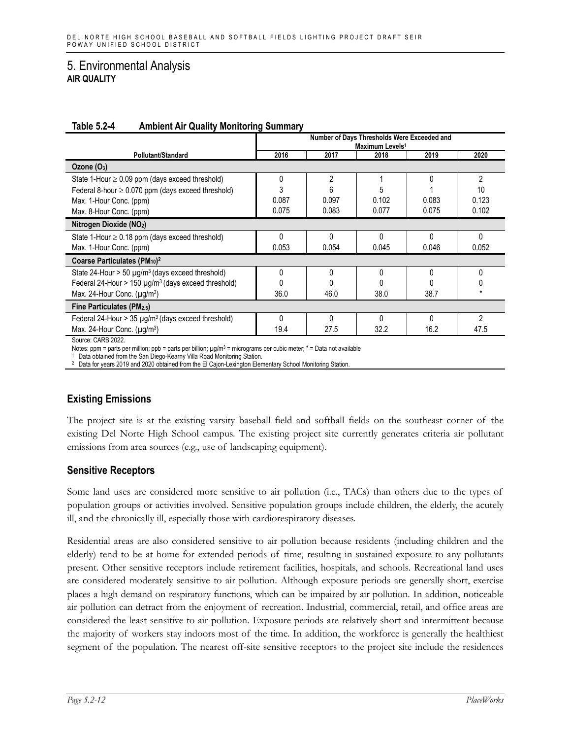|                                                                      | Number of Days Thresholds Were Exceeded and<br>Maximum Levels <sup>1</sup> |       |              |       |                |  |  |
|----------------------------------------------------------------------|----------------------------------------------------------------------------|-------|--------------|-------|----------------|--|--|
| Pollutant/Standard                                                   | 2016                                                                       | 2017  | 2018         | 2019  | 2020           |  |  |
| Ozone $(O_3)$                                                        |                                                                            |       |              |       |                |  |  |
| State 1-Hour $\geq$ 0.09 ppm (days exceed threshold)                 | 0                                                                          | 2     |              | 0     | $\overline{2}$ |  |  |
| Federal 8-hour $\geq$ 0.070 ppm (days exceed threshold)              | 3                                                                          |       |              |       | 10             |  |  |
| Max. 1-Hour Conc. (ppm)                                              | 0.087                                                                      | 0.097 | 0.102        | 0.083 | 0.123          |  |  |
| Max. 8-Hour Conc. (ppm)                                              | 0.075                                                                      | 0.083 | 0.077        | 0.075 | 0.102          |  |  |
| Nitrogen Dioxide (NO2)                                               |                                                                            |       |              |       |                |  |  |
| State 1-Hour $\geq$ 0.18 ppm (days exceed threshold)                 | 0                                                                          |       | ŋ            | U     | 0              |  |  |
| Max. 1-Hour Conc. (ppm)                                              | 0.053                                                                      | 0.054 | 0.045        | 0.046 | 0.052          |  |  |
| Coarse Particulates (PM <sub>10</sub> ) <sup>2</sup>                 |                                                                            |       |              |       |                |  |  |
| State 24-Hour > 50 µg/m <sup>3</sup> (days exceed threshold)         | $\Omega$                                                                   |       | N            |       |                |  |  |
| Federal 24-Hour > 150 $\mu$ g/m <sup>3</sup> (days exceed threshold) |                                                                            |       |              |       |                |  |  |
| Max. 24-Hour Conc. $(\mu g/m^3)$                                     | 36.0                                                                       | 46.0  | 38.0         | 38.7  |                |  |  |
| Fine Particulates (PM2.5)                                            |                                                                            |       |              |       |                |  |  |
| Federal 24-Hour > 35 µg/m <sup>3</sup> (days exceed threshold)       | $\Omega$                                                                   | N     | <sup>0</sup> | 0     | $\mathfrak{p}$ |  |  |
| Max. 24-Hour Conc. $(\mu g/m^3)$                                     | 19.4                                                                       | 27.5  | 32.2         | 16.2  | 47.5           |  |  |
| Source: CARB 2022                                                    |                                                                            |       |              |       |                |  |  |

#### **Table 5.2-4 Ambient Air Quality Monitoring Summary**

Source: CARB 2022.

Notes: ppm = parts per million; ppb = parts per billion; µg/m<sup>3</sup> = micrograms per cubic meter; \* = Data not available

1 Data obtained from the San Diego-Kearny Villa Road Monitoring Station.<br>2 Data for years 2019 and 2020 obtained from the El Cajon-Lexington Elementary School Monitoring Station.

# **Existing Emissions**

The project site is at the existing varsity baseball field and softball fields on the southeast corner of the existing Del Norte High School campus. The existing project site currently generates criteria air pollutant emissions from area sources (e.g., use of landscaping equipment).

# **Sensitive Receptors**

Some land uses are considered more sensitive to air pollution (i.e., TACs) than others due to the types of population groups or activities involved. Sensitive population groups include children, the elderly, the acutely ill, and the chronically ill, especially those with cardiorespiratory diseases.

Residential areas are also considered sensitive to air pollution because residents (including children and the elderly) tend to be at home for extended periods of time, resulting in sustained exposure to any pollutants present. Other sensitive receptors include retirement facilities, hospitals, and schools. Recreational land uses are considered moderately sensitive to air pollution. Although exposure periods are generally short, exercise places a high demand on respiratory functions, which can be impaired by air pollution. In addition, noticeable air pollution can detract from the enjoyment of recreation. Industrial, commercial, retail, and office areas are considered the least sensitive to air pollution. Exposure periods are relatively short and intermittent because the majority of workers stay indoors most of the time. In addition, the workforce is generally the healthiest segment of the population. The nearest off-site sensitive receptors to the project site include the residences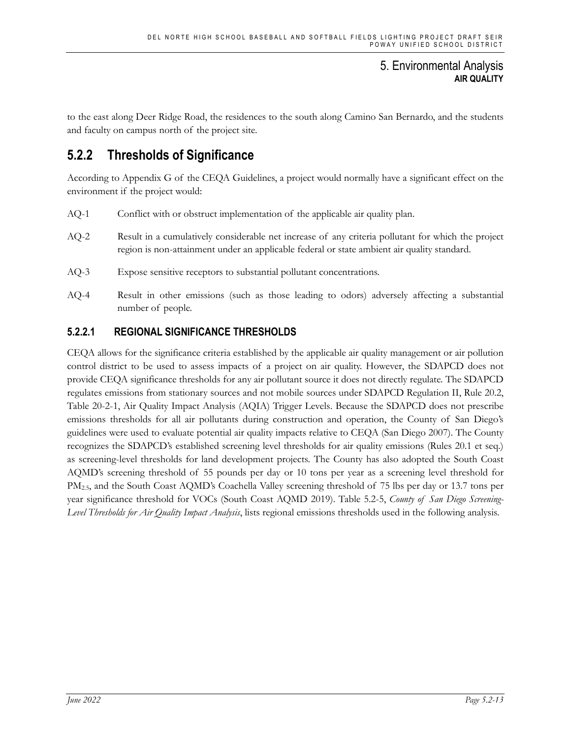to the east along Deer Ridge Road, the residences to the south along Camino San Bernardo, and the students and faculty on campus north of the project site.

# **5.2.2 Thresholds of Significance**

According to Appendix G of the CEQA Guidelines, a project would normally have a significant effect on the environment if the project would:

- AQ-1 Conflict with or obstruct implementation of the applicable air quality plan.
- AQ-2 Result in a cumulatively considerable net increase of any criteria pollutant for which the project region is non-attainment under an applicable federal or state ambient air quality standard.
- AQ-3 Expose sensitive receptors to substantial pollutant concentrations.
- AQ-4 Result in other emissions (such as those leading to odors) adversely affecting a substantial number of people.

# **5.2.2.1 REGIONAL SIGNIFICANCE THRESHOLDS**

CEQA allows for the significance criteria established by the applicable air quality management or air pollution control district to be used to assess impacts of a project on air quality. However, the SDAPCD does not provide CEQA significance thresholds for any air pollutant source it does not directly regulate. The SDAPCD regulates emissions from stationary sources and not mobile sources under SDAPCD Regulation II, Rule 20.2, Table 20-2-1, Air Quality Impact Analysis (AQIA) Trigger Levels. Because the SDAPCD does not prescribe emissions thresholds for all air pollutants during construction and operation, the County of San Diego's guidelines were used to evaluate potential air quality impacts relative to CEQA (San Diego 2007). The County recognizes the SDAPCD's established screening level thresholds for air quality emissions (Rules 20.1 et seq.) as screening-level thresholds for land development projects. The County has also adopted the South Coast AQMD's screening threshold of 55 pounds per day or 10 tons per year as a screening level threshold for PM2.5, and the South Coast AQMD's Coachella Valley screening threshold of 75 lbs per day or 13.7 tons per year significance threshold for VOCs (South Coast AQMD 2019). Table 5.2-5, *County of San Diego Screening-Level Thresholds for Air Quality Impact Analysis*, lists regional emissions thresholds used in the following analysis.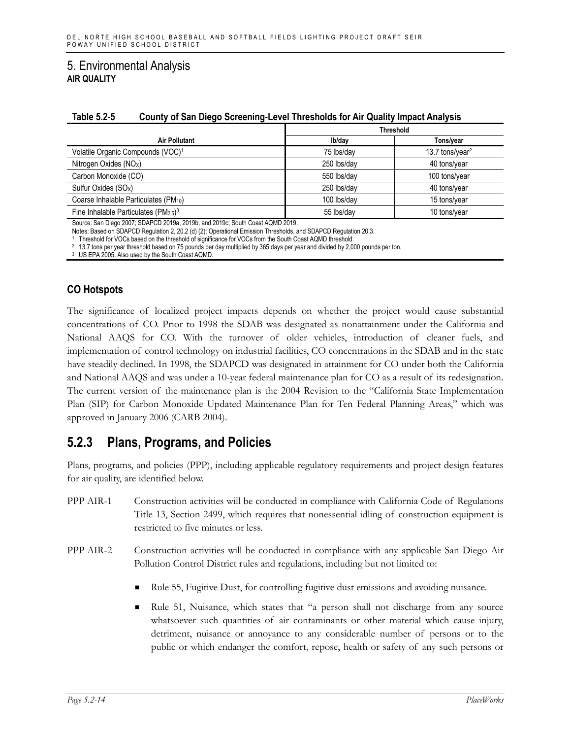| IUNIV VIL V<br><b>OURING OF DRILLING OUTCOMING LOTOR INTOXIOUS IOF AND SCRIMG INTRODUCTION</b> |                  |                             |  |  |  |  |
|------------------------------------------------------------------------------------------------|------------------|-----------------------------|--|--|--|--|
|                                                                                                | <b>Threshold</b> |                             |  |  |  |  |
| <b>Air Pollutant</b>                                                                           | Ib/day           | Tons/year                   |  |  |  |  |
| Volatile Organic Compounds (VOC) <sup>1</sup>                                                  | 75 lbs/day       | 13.7 tons/year <sup>2</sup> |  |  |  |  |
| Nitrogen Oxides (NO <sub>x</sub> )                                                             | 250 lbs/day      | 40 tons/year                |  |  |  |  |
| Carbon Monoxide (CO)                                                                           | 550 lbs/day      | 100 tons/year               |  |  |  |  |
| Sulfur Oxides (SO <sub>x</sub> )                                                               | 250 lbs/day      | 40 tons/year                |  |  |  |  |
| Coarse Inhalable Particulates (PM <sub>10</sub> )                                              | 100 lbs/day      | 15 tons/year                |  |  |  |  |
| Fine Inhalable Particulates ( $PM_{2.5}$ ) <sup>3</sup>                                        | 55 lbs/dav       | 10 tons/year                |  |  |  |  |

#### **Table 5.2-5 County of San Diego Screening-Level Thresholds for Air Quality Impact Analysis**

Source: San Diego 2007; SDAPCD 2019a, 2019b, and 2019c; South Coast AQMD 2019.

Notes: Based on SDAPCD Regulation 2, 20.2 (d) (2): Operational Emission Thresholds, and SDAPCD Regulation 20.3.

<sup>1</sup> Threshold for VOCs based on the threshold of significance for VOCs from the South Coast AQMD threshold.

<sup>2</sup> 13.7 tons per year threshold based on 75 pounds per day multiplied by 365 days per year and divided by 2,000 pounds per ton.

<sup>3</sup> US EPA 2005. Also used by the South Coast AQMD.

### **CO Hotspots**

The significance of localized project impacts depends on whether the project would cause substantial concentrations of CO. Prior to 1998 the SDAB was designated as nonattainment under the California and National AAQS for CO. With the turnover of older vehicles, introduction of cleaner fuels, and implementation of control technology on industrial facilities, CO concentrations in the SDAB and in the state have steadily declined. In 1998, the SDAPCD was designated in attainment for CO under both the California and National AAQS and was under a 10-year federal maintenance plan for CO as a result of its redesignation. The current version of the maintenance plan is the 2004 Revision to the "California State Implementation Plan (SIP) for Carbon Monoxide Updated Maintenance Plan for Ten Federal Planning Areas," which was approved in January 2006 (CARB 2004).

# **5.2.3 Plans, Programs, and Policies**

Plans, programs, and policies (PPP), including applicable regulatory requirements and project design features for air quality, are identified below.

- PPP AIR-1 Construction activities will be conducted in compliance with California Code of Regulations Title 13, Section 2499, which requires that nonessential idling of construction equipment is restricted to five minutes or less.
- PPP AIR-2 Construction activities will be conducted in compliance with any applicable San Diego Air Pollution Control District rules and regulations, including but not limited to:
	- Rule 55, Fugitive Dust, for controlling fugitive dust emissions and avoiding nuisance.
	- Rule 51, Nuisance, which states that "a person shall not discharge from any source whatsoever such quantities of air contaminants or other material which cause injury, detriment, nuisance or annoyance to any considerable number of persons or to the public or which endanger the comfort, repose, health or safety of any such persons or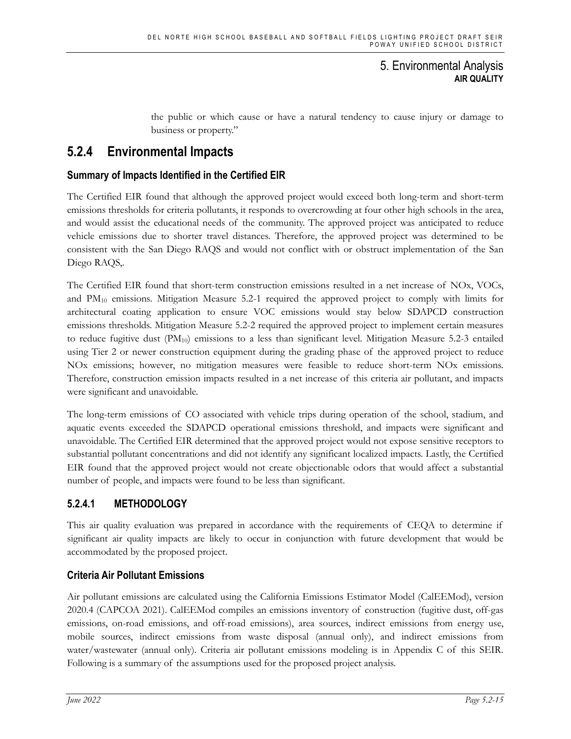the public or which cause or have a natural tendency to cause injury or damage to business or property."

# **5.2.4 Environmental Impacts**

# **Summary of Impacts Identified in the Certified EIR**

The Certified EIR found that although the approved project would exceed both long-term and short-term emissions thresholds for criteria pollutants, it responds to overcrowding at four other high schools in the area, and would assist the educational needs of the community. The approved project was anticipated to reduce vehicle emissions due to shorter travel distances. Therefore, the approved project was determined to be consistent with the San Diego RAQS and would not conflict with or obstruct implementation of the San Diego RAQS,.

The Certified EIR found that short-term construction emissions resulted in a net increase of NOx, VOCs, and  $PM_{10}$  emissions. Mitigation Measure 5.2-1 required the approved project to comply with limits for architectural coating application to ensure VOC emissions would stay below SDAPCD construction emissions thresholds. Mitigation Measure 5.2-2 required the approved project to implement certain measures to reduce fugitive dust  $(PM_{10})$  emissions to a less than significant level. Mitigation Measure 5.2-3 entailed using Tier 2 or newer construction equipment during the grading phase of the approved project to reduce NOx emissions; however, no mitigation measures were feasible to reduce short-term NOx emissions. Therefore, construction emission impacts resulted in a net increase of this criteria air pollutant, and impacts were significant and unavoidable.

The long-term emissions of CO associated with vehicle trips during operation of the school, stadium, and aquatic events exceeded the SDAPCD operational emissions threshold, and impacts were significant and unavoidable. The Certified EIR determined that the approved project would not expose sensitive receptors to substantial pollutant concentrations and did not identify any significant localized impacts. Lastly, the Certified EIR found that the approved project would not create objectionable odors that would affect a substantial number of people, and impacts were found to be less than significant.

# **5.2.4.1 METHODOLOGY**

This air quality evaluation was prepared in accordance with the requirements of CEQA to determine if significant air quality impacts are likely to occur in conjunction with future development that would be accommodated by the proposed project.

# **Criteria Air Pollutant Emissions**

Air pollutant emissions are calculated using the California Emissions Estimator Model (CalEEMod), version 2020.4 (CAPCOA 2021). CalEEMod compiles an emissions inventory of construction (fugitive dust, off-gas emissions, on-road emissions, and off-road emissions), area sources, indirect emissions from energy use, mobile sources, indirect emissions from waste disposal (annual only), and indirect emissions from water/wastewater (annual only). Criteria air pollutant emissions modeling is in Appendix C of this SEIR. Following is a summary of the assumptions used for the proposed project analysis.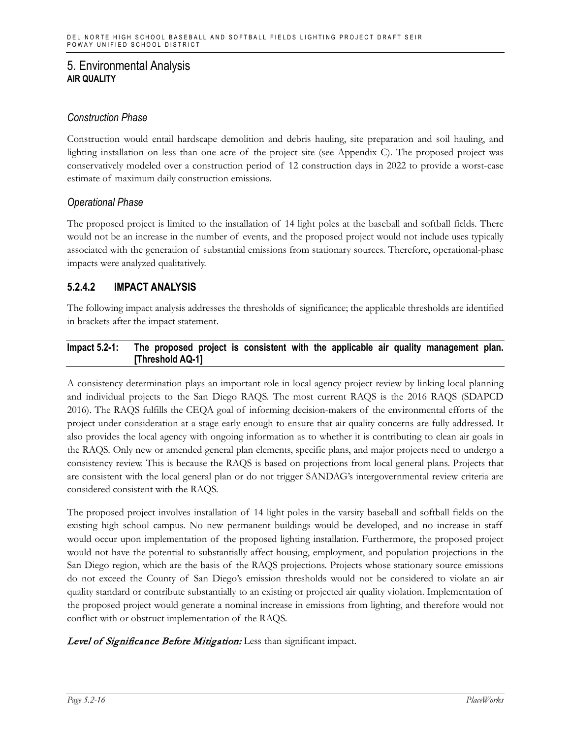### *Construction Phase*

Construction would entail hardscape demolition and debris hauling, site preparation and soil hauling, and lighting installation on less than one acre of the project site (see Appendix C). The proposed project was conservatively modeled over a construction period of 12 construction days in 2022 to provide a worst-case estimate of maximum daily construction emissions.

### *Operational Phase*

The proposed project is limited to the installation of 14 light poles at the baseball and softball fields. There would not be an increase in the number of events, and the proposed project would not include uses typically associated with the generation of substantial emissions from stationary sources. Therefore, operational-phase impacts were analyzed qualitatively.

# **5.2.4.2 IMPACT ANALYSIS**

The following impact analysis addresses the thresholds of significance; the applicable thresholds are identified in brackets after the impact statement.

#### **Impact 5.2-1: The proposed project is consistent with the applicable air quality management plan. [Threshold AQ-1]**

A consistency determination plays an important role in local agency project review by linking local planning and individual projects to the San Diego RAQS. The most current RAQS is the 2016 RAQS (SDAPCD 2016). The RAQS fulfills the CEQA goal of informing decision-makers of the environmental efforts of the project under consideration at a stage early enough to ensure that air quality concerns are fully addressed. It also provides the local agency with ongoing information as to whether it is contributing to clean air goals in the RAQS. Only new or amended general plan elements, specific plans, and major projects need to undergo a consistency review. This is because the RAQS is based on projections from local general plans. Projects that are consistent with the local general plan or do not trigger SANDAG's intergovernmental review criteria are considered consistent with the RAQS.

The proposed project involves installation of 14 light poles in the varsity baseball and softball fields on the existing high school campus. No new permanent buildings would be developed, and no increase in staff would occur upon implementation of the proposed lighting installation. Furthermore, the proposed project would not have the potential to substantially affect housing, employment, and population projections in the San Diego region, which are the basis of the RAQS projections. Projects whose stationary source emissions do not exceed the County of San Diego's emission thresholds would not be considered to violate an air quality standard or contribute substantially to an existing or projected air quality violation. Implementation of the proposed project would generate a nominal increase in emissions from lighting, and therefore would not conflict with or obstruct implementation of the RAQS.

### Level of Significance Before Mitigation: Less than significant impact.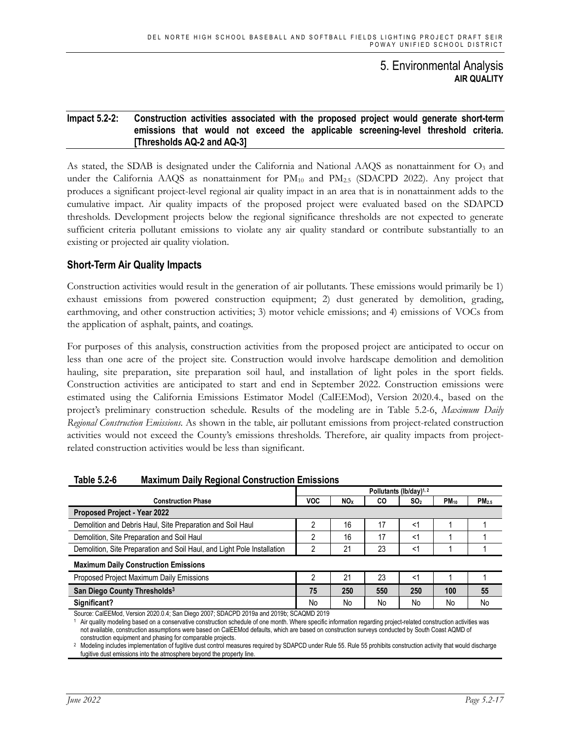#### **Impact 5.2-2: Construction activities associated with the proposed project would generate short-term emissions that would not exceed the applicable screening-level threshold criteria. [Thresholds AQ-2 and AQ-3]**

As stated, the SDAB is designated under the California and National AAQS as nonattainment for  $O<sub>3</sub>$  and under the California AAQS as nonattainment for  $PM_{10}$  and  $PM_{2.5}$  (SDACPD 2022). Any project that produces a significant project-level regional air quality impact in an area that is in nonattainment adds to the cumulative impact. Air quality impacts of the proposed project were evaluated based on the SDAPCD thresholds. Development projects below the regional significance thresholds are not expected to generate sufficient criteria pollutant emissions to violate any air quality standard or contribute substantially to an existing or projected air quality violation.

### **Short-Term Air Quality Impacts**

Construction activities would result in the generation of air pollutants. These emissions would primarily be 1) exhaust emissions from powered construction equipment; 2) dust generated by demolition, grading, earthmoving, and other construction activities; 3) motor vehicle emissions; and 4) emissions of VOCs from the application of asphalt, paints, and coatings.

For purposes of this analysis, construction activities from the proposed project are anticipated to occur on less than one acre of the project site. Construction would involve hardscape demolition and demolition hauling, site preparation, site preparation soil haul, and installation of light poles in the sport fields. Construction activities are anticipated to start and end in September 2022. Construction emissions were estimated using the California Emissions Estimator Model (CalEEMod), Version 2020.4., based on the project's preliminary construction schedule. Results of the modeling are in Table 5.2-6, *Maximum Daily Regional Construction Emissions*. As shown in the table, air pollutant emissions from project-related construction activities would not exceed the County's emissions thresholds. Therefore, air quality impacts from projectrelated construction activities would be less than significant.

| Pollutants (lb/day) <sup>1, 2</sup> |                 |     |                 |                         |                   |
|-------------------------------------|-----------------|-----|-----------------|-------------------------|-------------------|
| <b>VOC</b>                          | NO <sub>X</sub> | CO  | SO <sub>2</sub> | <b>PM</b> <sub>10</sub> | PM <sub>2.5</sub> |
|                                     |                 |     |                 |                         |                   |
|                                     | 16              | 17  | <′              |                         |                   |
| 2                                   | 16              | 17  | <1              |                         |                   |
| ∩                                   | 21              | 23  | $<$ 1           |                         |                   |
|                                     |                 |     |                 |                         |                   |
| 2                                   | 21              | 23  | <1              |                         |                   |
| 75                                  | 250             | 550 | 250             | 100                     | 55                |
| No                                  | No              | No  | No              | No                      | No                |
| 0.01011000010                       |                 |     |                 |                         |                   |

#### **Table 5.2-6 Maximum Daily Regional Construction Emissions**

Source: CalEEMod, Version 2020.0.4; San Diego 2007; SDACPD 2019a and 2019b; SCAQMD 2019

Air quality modeling based on a conservative construction schedule of one month. Where specific information regarding project-related construction activities was not available, construction assumptions were based on CalEEMod defaults, which are based on construction surveys conducted by South Coast AQMD of construction equipment and phasing for comparable projects.

<sup>2</sup> Modeling includes implementation of fugitive dust control measures required by SDAPCD under Rule 55. Rule 55 prohibits construction activity that would discharge fugitive dust emissions into the atmosphere beyond the property line.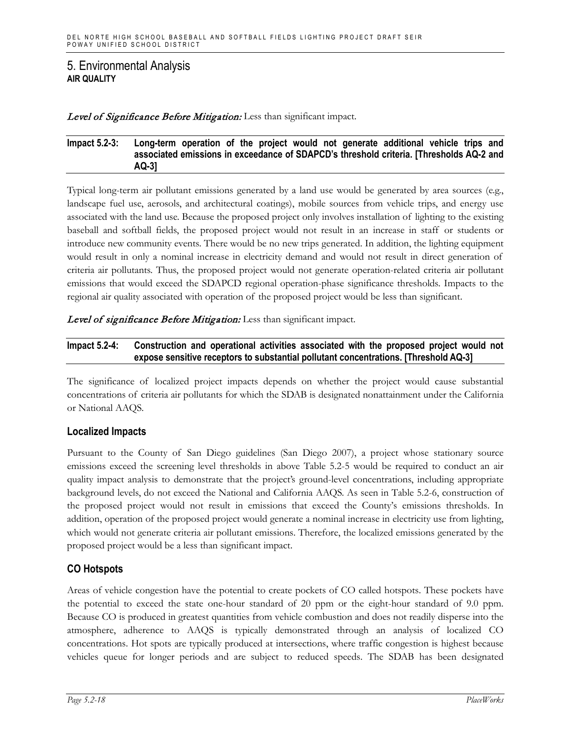#### Level of Significance Before Mitigation: Less than significant impact.

#### **Impact 5.2-3: Long-term operation of the project would not generate additional vehicle trips and associated emissions in exceedance of SDAPCD's threshold criteria. [Thresholds AQ-2 and AQ-3]**

Typical long-term air pollutant emissions generated by a land use would be generated by area sources (e.g., landscape fuel use, aerosols, and architectural coatings), mobile sources from vehicle trips, and energy use associated with the land use. Because the proposed project only involves installation of lighting to the existing baseball and softball fields, the proposed project would not result in an increase in staff or students or introduce new community events. There would be no new trips generated. In addition, the lighting equipment would result in only a nominal increase in electricity demand and would not result in direct generation of criteria air pollutants. Thus, the proposed project would not generate operation-related criteria air pollutant emissions that would exceed the SDAPCD regional operation-phase significance thresholds. Impacts to the regional air quality associated with operation of the proposed project would be less than significant.

Level of significance Before Mitigation: Less than significant impact.

### **Impact 5.2-4: Construction and operational activities associated with the proposed project would not expose sensitive receptors to substantial pollutant concentrations. [Threshold AQ-3]**

The significance of localized project impacts depends on whether the project would cause substantial concentrations of criteria air pollutants for which the SDAB is designated nonattainment under the California or National AAQS.

### **Localized Impacts**

Pursuant to the County of San Diego guidelines (San Diego 2007), a project whose stationary source emissions exceed the screening level thresholds in above Table 5.2-5 would be required to conduct an air quality impact analysis to demonstrate that the project's ground-level concentrations, including appropriate background levels, do not exceed the National and California AAQS. As seen in Table 5.2-6, construction of the proposed project would not result in emissions that exceed the County's emissions thresholds. In addition, operation of the proposed project would generate a nominal increase in electricity use from lighting, which would not generate criteria air pollutant emissions. Therefore, the localized emissions generated by the proposed project would be a less than significant impact.

# **CO Hotspots**

Areas of vehicle congestion have the potential to create pockets of CO called hotspots. These pockets have the potential to exceed the state one-hour standard of 20 ppm or the eight-hour standard of 9.0 ppm. Because CO is produced in greatest quantities from vehicle combustion and does not readily disperse into the atmosphere, adherence to AAQS is typically demonstrated through an analysis of localized CO concentrations. Hot spots are typically produced at intersections, where traffic congestion is highest because vehicles queue for longer periods and are subject to reduced speeds. The SDAB has been designated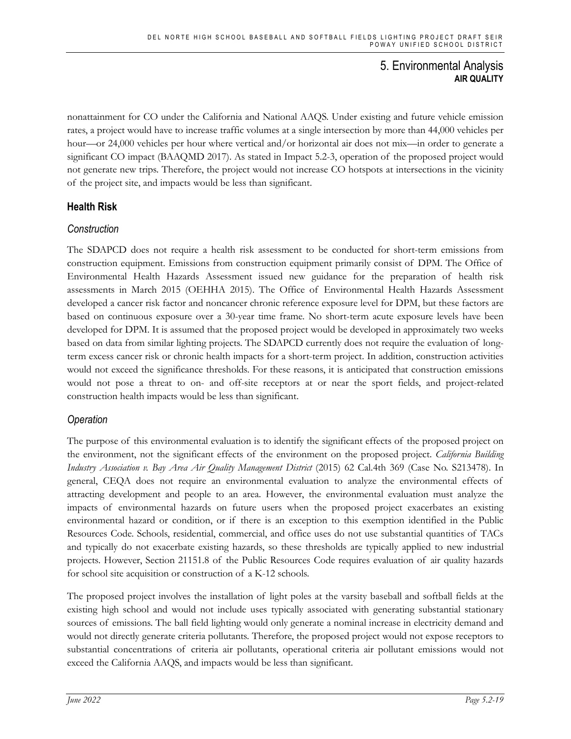nonattainment for CO under the California and National AAQS. Under existing and future vehicle emission rates, a project would have to increase traffic volumes at a single intersection by more than 44,000 vehicles per hour—or 24,000 vehicles per hour where vertical and/or horizontal air does not mix—in order to generate a significant CO impact (BAAQMD 2017). As stated in Impact 5.2-3, operation of the proposed project would not generate new trips. Therefore, the project would not increase CO hotspots at intersections in the vicinity of the project site, and impacts would be less than significant.

# **Health Risk**

# *Construction*

The SDAPCD does not require a health risk assessment to be conducted for short-term emissions from construction equipment. Emissions from construction equipment primarily consist of DPM. The Office of Environmental Health Hazards Assessment issued new guidance for the preparation of health risk assessments in March 2015 (OEHHA 2015). The Office of Environmental Health Hazards Assessment developed a cancer risk factor and noncancer chronic reference exposure level for DPM, but these factors are based on continuous exposure over a 30-year time frame. No short-term acute exposure levels have been developed for DPM. It is assumed that the proposed project would be developed in approximately two weeks based on data from similar lighting projects. The SDAPCD currently does not require the evaluation of longterm excess cancer risk or chronic health impacts for a short-term project. In addition, construction activities would not exceed the significance thresholds. For these reasons, it is anticipated that construction emissions would not pose a threat to on- and off-site receptors at or near the sport fields, and project-related construction health impacts would be less than significant.

# *Operation*

The purpose of this environmental evaluation is to identify the significant effects of the proposed project on the environment, not the significant effects of the environment on the proposed project. *California Building Industry Association v. Bay Area Air Quality Management District* (2015) 62 Cal.4th 369 (Case No. S213478). In general, CEQA does not require an environmental evaluation to analyze the environmental effects of attracting development and people to an area. However, the environmental evaluation must analyze the impacts of environmental hazards on future users when the proposed project exacerbates an existing environmental hazard or condition, or if there is an exception to this exemption identified in the Public Resources Code. Schools, residential, commercial, and office uses do not use substantial quantities of TACs and typically do not exacerbate existing hazards, so these thresholds are typically applied to new industrial projects. However, Section 21151.8 of the Public Resources Code requires evaluation of air quality hazards for school site acquisition or construction of a K-12 schools.

The proposed project involves the installation of light poles at the varsity baseball and softball fields at the existing high school and would not include uses typically associated with generating substantial stationary sources of emissions. The ball field lighting would only generate a nominal increase in electricity demand and would not directly generate criteria pollutants. Therefore, the proposed project would not expose receptors to substantial concentrations of criteria air pollutants, operational criteria air pollutant emissions would not exceed the California AAQS, and impacts would be less than significant.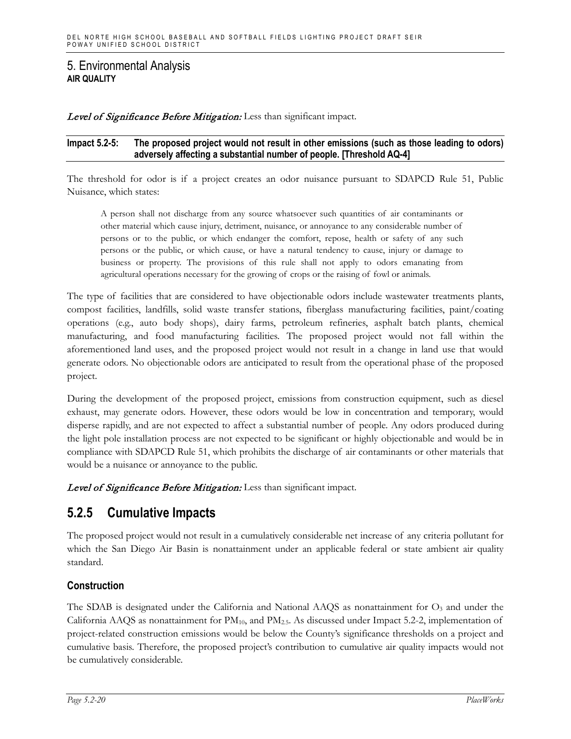Level of Significance Before Mitigation: Less than significant impact.

#### **Impact 5.2-5: The proposed project would not result in other emissions (such as those leading to odors) adversely affecting a substantial number of people. [Threshold AQ-4]**

The threshold for odor is if a project creates an odor nuisance pursuant to SDAPCD Rule 51, Public Nuisance, which states:

A person shall not discharge from any source whatsoever such quantities of air contaminants or other material which cause injury, detriment, nuisance, or annoyance to any considerable number of persons or to the public, or which endanger the comfort, repose, health or safety of any such persons or the public, or which cause, or have a natural tendency to cause, injury or damage to business or property. The provisions of this rule shall not apply to odors emanating from agricultural operations necessary for the growing of crops or the raising of fowl or animals.

The type of facilities that are considered to have objectionable odors include wastewater treatments plants, compost facilities, landfills, solid waste transfer stations, fiberglass manufacturing facilities, paint/coating operations (e.g., auto body shops), dairy farms, petroleum refineries, asphalt batch plants, chemical manufacturing, and food manufacturing facilities. The proposed project would not fall within the aforementioned land uses, and the proposed project would not result in a change in land use that would generate odors. No objectionable odors are anticipated to result from the operational phase of the proposed project.

During the development of the proposed project, emissions from construction equipment, such as diesel exhaust, may generate odors. However, these odors would be low in concentration and temporary, would disperse rapidly, and are not expected to affect a substantial number of people. Any odors produced during the light pole installation process are not expected to be significant or highly objectionable and would be in compliance with SDAPCD Rule 51, which prohibits the discharge of air contaminants or other materials that would be a nuisance or annoyance to the public.

Level of Significance Before Mitigation: Less than significant impact.

# **5.2.5 Cumulative Impacts**

The proposed project would not result in a cumulatively considerable net increase of any criteria pollutant for which the San Diego Air Basin is nonattainment under an applicable federal or state ambient air quality standard.

# **Construction**

The SDAB is designated under the California and National AAQS as nonattainment for  $O<sub>3</sub>$  and under the California AAQS as nonattainment for PM10, and PM2.5. As discussed under Impact 5.2-2, implementation of project-related construction emissions would be below the County's significance thresholds on a project and cumulative basis. Therefore, the proposed project's contribution to cumulative air quality impacts would not be cumulatively considerable.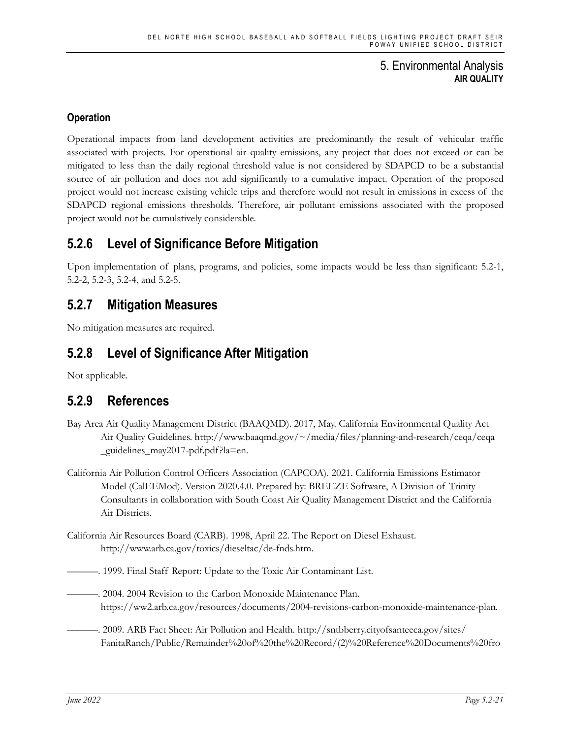# **Operation**

Operational impacts from land development activities are predominantly the result of vehicular traffic associated with projects. For operational air quality emissions, any project that does not exceed or can be mitigated to less than the daily regional threshold value is not considered by SDAPCD to be a substantial source of air pollution and does not add significantly to a cumulative impact. Operation of the proposed project would not increase existing vehicle trips and therefore would not result in emissions in excess of the SDAPCD regional emissions thresholds. Therefore, air pollutant emissions associated with the proposed project would not be cumulatively considerable.

# **5.2.6 Level of Significance Before Mitigation**

Upon implementation of plans, programs, and policies, some impacts would be less than significant: 5.2-1, 5.2-2, 5.2-3, 5.2-4, and 5.2-5.

# **5.2.7 Mitigation Measures**

No mitigation measures are required.

# **5.2.8 Level of Significance After Mitigation**

Not applicable.

# **5.2.9 References**

- Bay Area Air Quality Management District (BAAQMD). 2017, May. California Environmental Quality Act Air Quality Guidelines. http://www.baaqmd.gov/~/media/files/planning-and-research/ceqa/ceqa \_guidelines\_may2017-pdf.pdf?la=en.
- California Air Pollution Control Officers Association (CAPCOA). 2021. California Emissions Estimator Model (CalEEMod). Version 2020.4.0. Prepared by: BREEZE Software, A Division of Trinity Consultants in collaboration with South Coast Air Quality Management District and the California Air Districts.
- California Air Resources Board (CARB). 1998, April 22. The Report on Diesel Exhaust. http://www.arb.ca.gov/toxics/dieseltac/de-fnds.htm.

———. 1999. Final Staff Report: Update to the Toxic Air Contaminant List.

- ———. 2004. 2004 Revision to the Carbon Monoxide Maintenance Plan. https://ww2.arb.ca.gov/resources/documents/2004-revisions-carbon-monoxide-maintenance-plan.
- ———. 2009. ARB Fact Sheet: Air Pollution and Health. http://sntbberry.cityofsanteeca.gov/sites/ FanitaRanch/Public/Remainder%20of%20the%20Record/(2)%20Reference%20Documents%20fro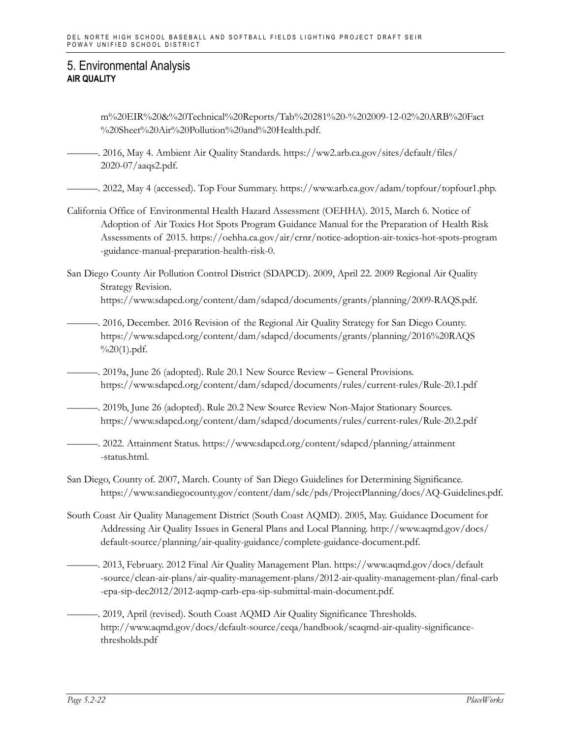m%20EIR%20&%20Technical%20Reports/Tab%20281%20-%202009-12-02%20ARB%20Fact %20Sheet%20Air%20Pollution%20and%20Health.pdf.

———. 2016, May 4. Ambient Air Quality Standards. https://ww2.arb.ca.gov/sites/default/files/ 2020-07/aaqs2.pdf.

———. 2022, May 4 (accessed). Top Four Summary. https://www.arb.ca.gov/adam/topfour/topfour1.php.

- California Office of Environmental Health Hazard Assessment (OEHHA). 2015, March 6. Notice of Adoption of Air Toxics Hot Spots Program Guidance Manual for the Preparation of Health Risk Assessments of 2015. https://oehha.ca.gov/air/crnr/notice-adoption-air-toxics-hot-spots-program -guidance-manual-preparation-health-risk-0.
- San Diego County Air Pollution Control District (SDAPCD). 2009, April 22. 2009 Regional Air Quality Strategy Revision. https://www.sdapcd.org/content/dam/sdapcd/documents/grants/planning/2009-RAQS.pdf.
- ———. 2016, December. 2016 Revision of the Regional Air Quality Strategy for San Diego County. https://www.sdapcd.org/content/dam/sdapcd/documents/grants/planning/2016%20RAQS  $\%20(1)$ .pdf.
- ———. 2019a, June 26 (adopted). Rule 20.1 New Source Review General Provisions. https://www.sdapcd.org/content/dam/sdapcd/documents/rules/current-rules/Rule-20.1.pdf
- ———. 2019b, June 26 (adopted). Rule 20.2 New Source Review Non-Major Stationary Sources. https://www.sdapcd.org/content/dam/sdapcd/documents/rules/current-rules/Rule-20.2.pdf
	- ———. 2022. Attainment Status. https://www.sdapcd.org/content/sdapcd/planning/attainment -status.html.
- San Diego, County of. 2007, March. County of San Diego Guidelines for Determining Significance. https://www.sandiegocounty.gov/content/dam/sdc/pds/ProjectPlanning/docs/AQ-Guidelines.pdf.
- South Coast Air Quality Management District (South Coast AQMD). 2005, May. Guidance Document for Addressing Air Quality Issues in General Plans and Local Planning. http://www.aqmd.gov/docs/ default-source/planning/air-quality-guidance/complete-guidance-document.pdf.
	- ———. 2013, February. 2012 Final Air Quality Management Plan. https://www.aqmd.gov/docs/default -source/clean-air-plans/air-quality-management-plans/2012-air-quality-management-plan/final-carb -epa-sip-dec2012/2012-aqmp-carb-epa-sip-submittal-main-document.pdf.
	- -. 2019, April (revised). South Coast AQMD Air Quality Significance Thresholds. http://www.aqmd.gov/docs/default-source/ceqa/handbook/scaqmd-air-quality-significancethresholds.pdf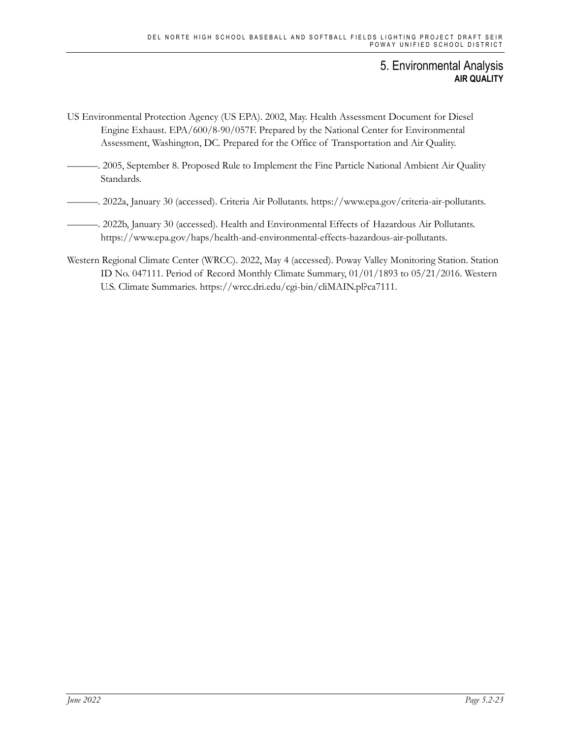- US Environmental Protection Agency (US EPA). 2002, May. Health Assessment Document for Diesel Engine Exhaust. EPA/600/8-90/057F. Prepared by the National Center for Environmental Assessment, Washington, DC. Prepared for the Office of Transportation and Air Quality.
- ———. 2005, September 8. Proposed Rule to Implement the Fine Particle National Ambient Air Quality Standards.
- ———. 2022a, January 30 (accessed). Criteria Air Pollutants. https://www.epa.gov/criteria-air-pollutants.
- ———. 2022b, January 30 (accessed). Health and Environmental Effects of Hazardous Air Pollutants. https://www.epa.gov/haps/health-and-environmental-effects-hazardous-air-pollutants.
- Western Regional Climate Center (WRCC). 2022, May 4 (accessed). Poway Valley Monitoring Station. Station ID No. 047111. Period of Record Monthly Climate Summary, 01/01/1893 to 05/21/2016. Western U.S. Climate Summaries. https://wrcc.dri.edu/cgi-bin/cliMAIN.pl?ca7111.